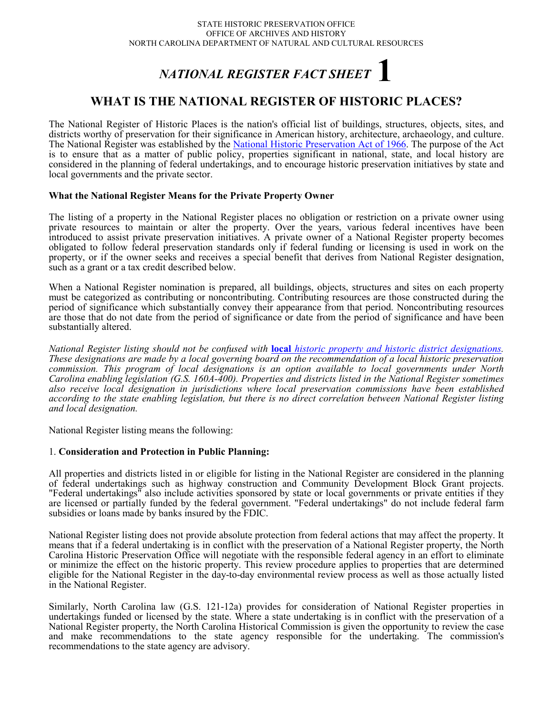# *NATIONAL REGISTER FACT SHEET* **1**

# **WHAT IS THE NATIONAL REGISTER OF HISTORIC PLACES?**

The National Register of Historic Places is the nation's official list of buildings, structures, objects, sites, and districts worthy of preservation for their significance in American history, architecture, archaeology, and culture. The National Register was established by the [National Historic Preservation Act of 1966.](http://www.hpo.ncdcr.gov/nhpa.htm) The purpose of the Act is to ensure that as a matter of public policy, properties significant in national, state, and local history are considered in the planning of federal undertakings, and to encourage historic preservation initiatives by state and local governments and the private sector.

## **What the National Register Means for the Private Property Owner**

The listing of a property in the National Register places no obligation or restriction on a private owner using private resources to maintain or alter the property. Over the years, various federal incentives have been introduced to assist private preservation initiatives. A private owner of a National Register property becomes obligated to follow federal preservation standards only if federal funding or licensing is used in work on the property, or if the owner seeks and receives a special benefit that derives from National Register designation, such as a grant or a tax credit described below.

When a National Register nomination is prepared, all buildings, objects, structures and sites on each property must be categorized as contributing or noncontributing. Contributing resources are those constructed during the period of significance which substantially convey their appearance from that period. Noncontributing resources are those that do not date from the period of significance or date from the period of significance and have been substantially altered.

*National Register listing should not be confused with* **local** *[historic property and historic district designations.](http://www.hpo.ncdcr.gov/localdes.htm) These designations are made by a local governing board on the recommendation of a local historic preservation commission. This program of local designations is an option available to local governments under North Carolina enabling legislation (G.S. 160A-400). Properties and districts listed in the National Register sometimes also receive local designation in jurisdictions where local preservation commissions have been established according to the state enabling legislation, but there is no direct correlation between National Register listing and local designation.*

National Register listing means the following:

### 1. **Consideration and Protection in Public Planning:**

All properties and districts listed in or eligible for listing in the National Register are considered in the planning of federal undertakings such as highway construction and Community Development Block Grant projects. "Federal undertakings" also include activities sponsored by state or local governments or private entities if they are licensed or partially funded by the federal government. "Federal undertakings" do not include federal farm subsidies or loans made by banks insured by the FDIC.

National Register listing does not provide absolute protection from federal actions that may affect the property. It means that if a federal undertaking is in conflict with the preservation of a National Register property, the North Carolina Historic Preservation Office will negotiate with the responsible federal agency in an effort to eliminate or minimize the effect on the historic property. This review procedure applies to properties that are determined eligible for the National Register in the day-to-day environmental review process as well as those actually listed in the National Register.

Similarly, North Carolina law (G.S. 121-12a) provides for consideration of National Register properties in undertakings funded or licensed by the state. Where a state undertaking is in conflict with the preservation of a National Register property, the North Carolina Historical Commission is given the opportunity to review the case and make recommendations to the state agency responsible for the undertaking. The commission's recommendations to the state agency are advisory.